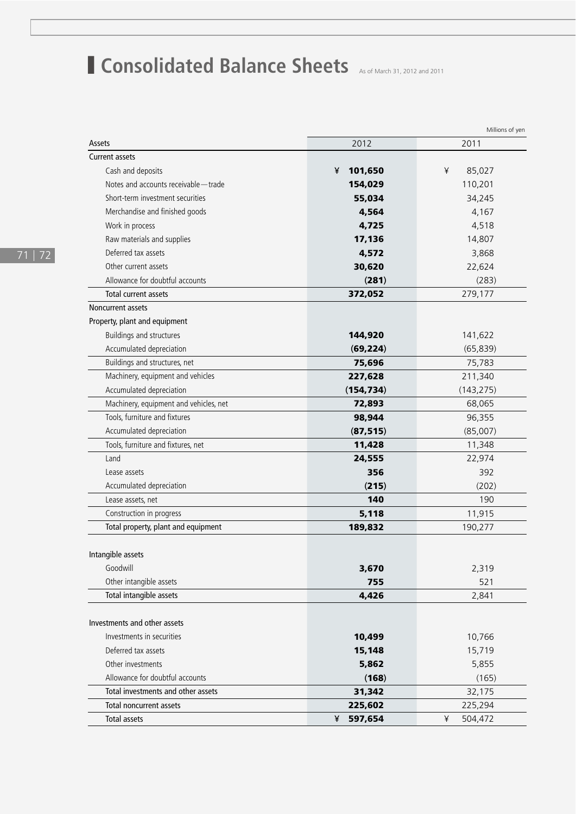## **Consolidated Balance Sheets** As of March 31, 2012 and 2011

|                                        | Millions of yen |              |
|----------------------------------------|-----------------|--------------|
| Assets                                 | 2012            | 2011         |
| <b>Current assets</b>                  |                 |              |
| Cash and deposits                      | 101,650<br>¥    | 85,027<br>¥  |
| Notes and accounts receivable-trade    | 154,029         | 110,201      |
| Short-term investment securities       | 55,034          | 34,245       |
| Merchandise and finished goods         | 4,564           | 4,167        |
| Work in process                        | 4,725           | 4,518        |
| Raw materials and supplies             | 17,136          | 14,807       |
| Deferred tax assets                    | 4,572           | 3,868        |
| Other current assets                   | 30,620          | 22,624       |
| Allowance for doubtful accounts        | (281)           | (283)        |
| Total current assets                   | 372,052         | 279,177      |
| <b>Noncurrent assets</b>               |                 |              |
| Property, plant and equipment          |                 |              |
| Buildings and structures               | 144,920         | 141,622      |
| Accumulated depreciation               | (69, 224)       | (65, 839)    |
| Buildings and structures, net          | 75,696          | 75,783       |
| Machinery, equipment and vehicles      | 227,628         | 211,340      |
| Accumulated depreciation               | (154, 734)      | (143, 275)   |
| Machinery, equipment and vehicles, net | 72,893          | 68,065       |
| Tools, furniture and fixtures          | 98,944          | 96,355       |
| Accumulated depreciation               | (87, 515)       | (85,007)     |
| Tools, furniture and fixtures, net     | 11,428          | 11,348       |
| Land                                   | 24,555          | 22,974       |
| Lease assets                           | 356             | 392          |
| Accumulated depreciation               | (215)           | (202)        |
| Lease assets, net                      | 140             | 190          |
| Construction in progress               | 5,118           | 11,915       |
| Total property, plant and equipment    | 189,832         | 190,277      |
|                                        |                 |              |
| Intangible assets                      |                 |              |
| Goodwill                               | 3,670           | 2,319        |
| Other intangible assets                | 755             | 521          |
| Total intangible assets                | 4,426           | 2,841        |
|                                        |                 |              |
| Investments and other assets           |                 |              |
| Investments in securities              | 10,499          | 10,766       |
| Deferred tax assets                    | 15,148          | 15,719       |
| Other investments                      | 5,862           | 5,855        |
| Allowance for doubtful accounts        | (168)           | (165)        |
| Total investments and other assets     | 31,342          | 32,175       |
| Total noncurrent assets                | 225,602         | 225,294      |
| <b>Total assets</b>                    | 597,654<br>¥    | ¥<br>504,472 |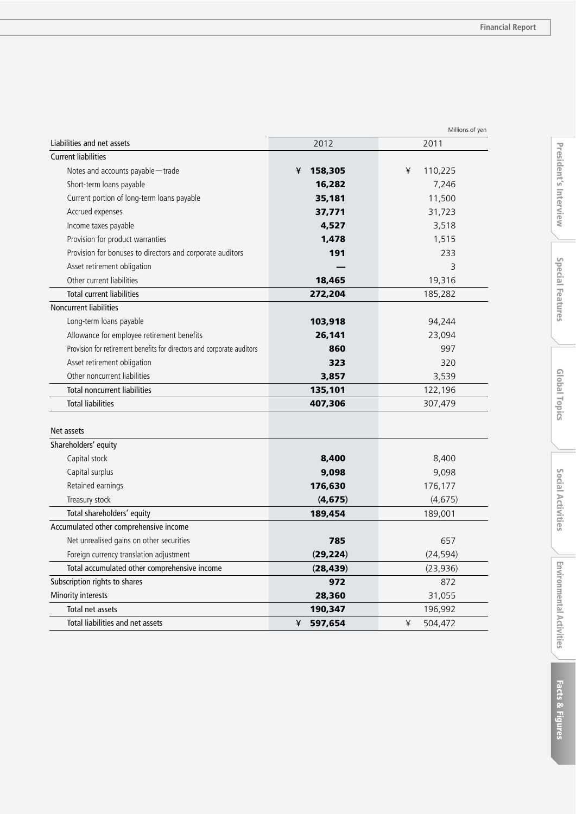|                                                                        |              | ivillions of yen |
|------------------------------------------------------------------------|--------------|------------------|
| Liabilities and net assets                                             | 2012         | 2011             |
| <b>Current liabilities</b>                                             |              |                  |
| Notes and accounts payable-trade                                       | 158,305<br>¥ | ¥<br>110,225     |
| Short-term loans payable                                               | 16,282       | 7,246            |
| Current portion of long-term loans payable                             | 35,181       | 11,500           |
| Accrued expenses                                                       | 37,771       | 31,723           |
| Income taxes payable                                                   | 4,527        | 3,518            |
| Provision for product warranties                                       | 1,478        | 1,515            |
| Provision for bonuses to directors and corporate auditors              | 191          | 233              |
| Asset retirement obligation                                            |              | 3                |
| Other current liabilities                                              | 18,465       | 19,316           |
| <b>Total current liabilities</b>                                       | 272,204      | 185,282          |
| Noncurrent liabilities                                                 |              |                  |
| Long-term loans payable                                                | 103,918      | 94,244           |
| Allowance for employee retirement benefits                             | 26,141       | 23,094           |
| Provision for retirement benefits for directors and corporate auditors | 860          | 997              |
| Asset retirement obligation                                            | 323          | 320              |
| Other noncurrent liabilities                                           | 3,857        | 3,539            |
| <b>Total noncurrent liabilities</b>                                    | 135,101      | 122,196          |
| <b>Total liabilities</b>                                               | 407,306      | 307,479          |
| Net assets                                                             |              |                  |
| Shareholders' equity                                                   |              |                  |
| Capital stock                                                          | 8,400        | 8,400            |
| Capital surplus                                                        | 9,098        | 9,098            |
| Retained earnings                                                      | 176,630      | 176,177          |
| Treasury stock                                                         | (4, 675)     | (4,675)          |
| Total shareholders' equity                                             | 189,454      | 189,001          |
| Accumulated other comprehensive income                                 |              |                  |
| Net unrealised gains on other securities                               | 785          | 657              |
| Foreign currency translation adjustment                                | (29, 224)    | (24, 594)        |
| Total accumulated other comprehensive income                           | (28, 439)    | (23, 936)        |
| Subscription rights to shares                                          | 972          | 872              |
| Minority interests                                                     | 28,360       | 31,055           |
| Total net assets                                                       | 190,347      | 196,992          |
| Total liabilities and net assets                                       | 597,654<br>¥ | 504,472<br>¥     |
|                                                                        |              |                  |

Millions of yen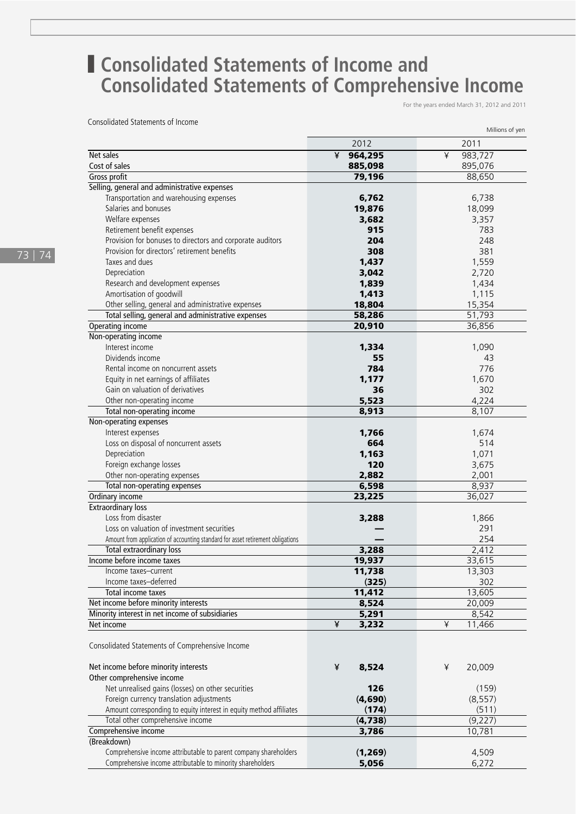## **■ Consolidated Statements of Income and Consolidated Statements of Comprehensive Income**

For the years ended March 31, 2012 and 2011

Consolidated Statements of Income

|                                                                                 |              | Millions of yen |
|---------------------------------------------------------------------------------|--------------|-----------------|
|                                                                                 | 2012         | 2011            |
| Net sales                                                                       | ¥<br>964,295 | ¥<br>983,727    |
| Cost of sales                                                                   | 885,098      | 895,076         |
| Gross profit                                                                    | 79,196       | 88,650          |
| Selling, general and administrative expenses                                    |              |                 |
| Transportation and warehousing expenses                                         | 6,762        | 6,738           |
| Salaries and bonuses                                                            | 19,876       | 18,099          |
| Welfare expenses                                                                | 3,682        | 3,357           |
| Retirement benefit expenses                                                     | 915          | 783             |
| Provision for bonuses to directors and corporate auditors                       | 204          | 248             |
| Provision for directors' retirement benefits                                    | 308          | 381             |
|                                                                                 |              |                 |
| Taxes and dues                                                                  | 1,437        | 1,559           |
| Depreciation                                                                    | 3,042        | 2,720           |
| Research and development expenses                                               | 1,839        | 1,434           |
| Amortisation of goodwill                                                        | 1,413        | 1,115           |
| Other selling, general and administrative expenses                              | 18,804       | 15,354          |
| Total selling, general and administrative expenses                              | 58,286       | 51,793          |
| Operating income                                                                | 20,910       | 36,856          |
| Non-operating income                                                            |              |                 |
| Interest income                                                                 | 1,334        | 1,090           |
| Dividends income                                                                | 55           | 43              |
| Rental income on noncurrent assets                                              | 784          | 776             |
| Equity in net earnings of affiliates                                            | 1,177        | 1,670           |
| Gain on valuation of derivatives                                                | 36           | 302             |
| Other non-operating income                                                      | 5,523        | 4,224           |
| Total non-operating income                                                      | 8,913        | 8,107           |
| Non-operating expenses                                                          |              |                 |
| Interest expenses                                                               | 1,766        | 1,674           |
| Loss on disposal of noncurrent assets                                           | 664          | 514             |
| Depreciation                                                                    | 1,163        | 1,071           |
| Foreign exchange losses                                                         | 120          | 3,675           |
| Other non-operating expenses                                                    | 2,882        | 2,001           |
| Total non-operating expenses                                                    | 6,598        | 8,937           |
| Ordinary income                                                                 | 23,225       | 36,027          |
| <b>Extraordinary loss</b>                                                       |              |                 |
| Loss from disaster                                                              | 3,288        | 1,866           |
| Loss on valuation of investment securities                                      |              | 291             |
| Amount from application of accounting standard for asset retirement obligations |              | 254             |
| Total extraordinary loss                                                        | 3,288        | 2,412           |
| Income before income taxes                                                      | 19,937       | 33,615          |
| Income taxes-current                                                            | 11,738       | 13,303          |
| Income taxes-deferred                                                           | (325)        | 302             |
| Total income taxes                                                              | 11,412       | 13,605          |
| Net income before minority interests                                            | 8,524        | 20,009          |
| Minority interest in net income of subsidiaries                                 | 5,291        | 8,542           |
| Net income                                                                      | ¥<br>3,232   | ¥<br>11,466     |
|                                                                                 |              |                 |
| Consolidated Statements of Comprehensive Income                                 |              |                 |
|                                                                                 |              |                 |
| Net income before minority interests                                            | ¥<br>8,524   | ¥<br>20,009     |
| Other comprehensive income                                                      |              |                 |
| Net unrealised gains (losses) on other securities                               | 126          | (159)           |
| Foreign currency translation adjustments                                        | (4,690)      | (8, 557)        |
| Amount corresponding to equity interest in equity method affiliates             | (174)        | (511)           |
| Total other comprehensive income                                                | (4,738)      | (9,227)         |
| Comprehensive income                                                            | 3,786        | 10,781          |
| (Breakdown)                                                                     |              |                 |
| Comprehensive income attributable to parent company shareholders                | (1,269)      | 4,509           |
| Comprehensive income attributable to minority shareholders                      | 5,056        | 6,272           |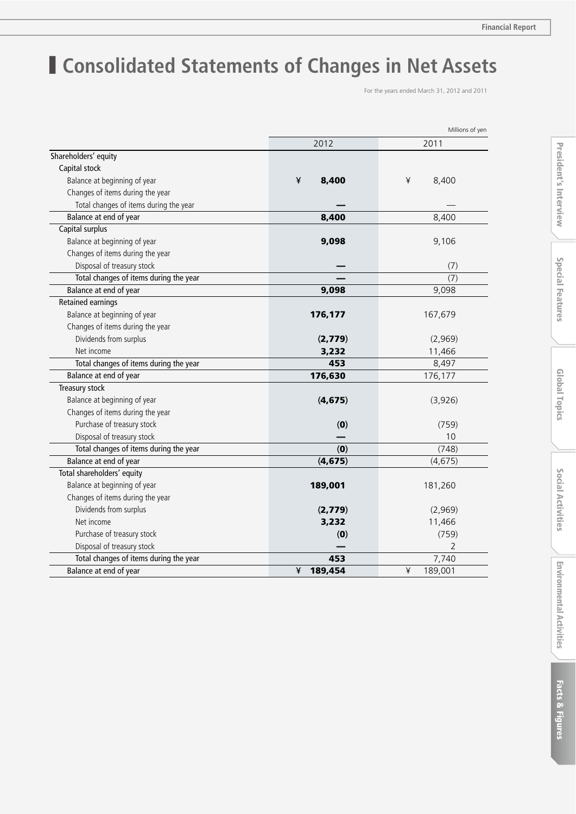## ■ **Consolidated Statements of Changes in Net Assets**

For the years ended March 31, 2012 and 2011

|                                        | Millions of yen |              |
|----------------------------------------|-----------------|--------------|
|                                        | 2012            | 2011         |
| Shareholders' equity                   |                 |              |
| Capital stock                          |                 |              |
| Balance at beginning of year           | ¥<br>8,400      | ¥<br>8,400   |
| Changes of items during the year       |                 |              |
| Total changes of items during the year |                 |              |
| Balance at end of year                 | 8,400           | 8,400        |
| Capital surplus                        |                 |              |
| Balance at beginning of year           | 9,098           | 9,106        |
| Changes of items during the year       |                 |              |
| Disposal of treasury stock             |                 | (7)          |
| Total changes of items during the year |                 | (7)          |
| Balance at end of year                 | 9,098           | 9,098        |
| <b>Retained earnings</b>               |                 |              |
| Balance at beginning of year           | 176,177         | 167,679      |
| Changes of items during the year       |                 |              |
| Dividends from surplus                 | (2,779)         | (2,969)      |
| Net income                             | 3,232           | 11,466       |
| Total changes of items during the year | 453             | 8,497        |
| Balance at end of year                 | 176,630         | 176,177      |
| Treasury stock                         |                 |              |
| Balance at beginning of year           | (4, 675)        | (3,926)      |
| Changes of items during the year       |                 |              |
| Purchase of treasury stock             | (0)             | (759)        |
| Disposal of treasury stock             |                 | 10           |
| Total changes of items during the year | (0)             | (748)        |
| Balance at end of year                 | (4, 675)        | (4,675)      |
| Total shareholders' equity             |                 |              |
| Balance at beginning of year           | 189,001         | 181,260      |
| Changes of items during the year       |                 |              |
| Dividends from surplus                 | (2,779)         | (2,969)      |
| Net income                             | 3,232           | 11,466       |
| Purchase of treasury stock             | (0)             | (759)        |
| Disposal of treasury stock             |                 | 2            |
| Total changes of items during the year | 453             | 7,740        |
| Balance at end of year                 | ¥<br>189,454    | ¥<br>189,001 |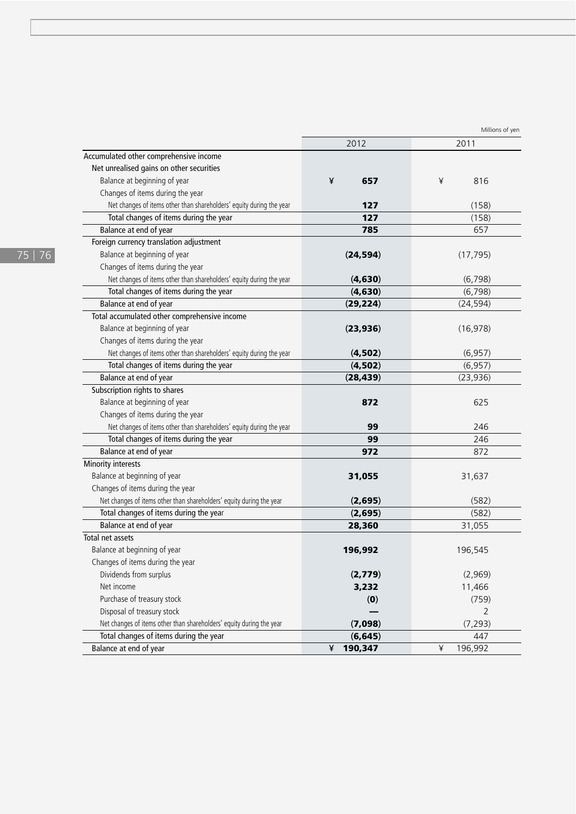|                                                                      | Millions of yen |                |
|----------------------------------------------------------------------|-----------------|----------------|
|                                                                      | 2012            | 2011           |
| Accumulated other comprehensive income                               |                 |                |
| Net unrealised gains on other securities                             |                 |                |
| Balance at beginning of year                                         | ¥<br>657        | ¥<br>816       |
| Changes of items during the year                                     |                 |                |
| Net changes of items other than shareholders' equity during the year | 127             | (158)          |
| Total changes of items during the year                               | 127             | (158)          |
| Balance at end of year                                               | 785             | 657            |
| Foreign currency translation adjustment                              |                 |                |
| Balance at beginning of year                                         | (24, 594)       | (17, 795)      |
| Changes of items during the year                                     |                 |                |
| Net changes of items other than shareholders' equity during the year | (4, 630)        | (6, 798)       |
| Total changes of items during the year                               | (4, 630)        | (6, 798)       |
| Balance at end of year                                               | (29, 224)       | (24, 594)      |
| Total accumulated other comprehensive income                         |                 |                |
| Balance at beginning of year                                         | (23, 936)       | (16, 978)      |
| Changes of items during the year                                     |                 |                |
| Net changes of items other than shareholders' equity during the year | (4,502)         | (6, 957)       |
| Total changes of items during the year                               | (4, 502)        | (6, 957)       |
| Balance at end of year                                               | (28, 439)       | (23, 936)      |
| Subscription rights to shares                                        |                 |                |
| Balance at beginning of year                                         | 872             | 625            |
| Changes of items during the year                                     |                 |                |
| Net changes of items other than shareholders' equity during the year | 99              | 246            |
| Total changes of items during the year                               | 99              | 246            |
| Balance at end of year                                               | 972             | 872            |
| Minority interests                                                   |                 |                |
| Balance at beginning of year                                         | 31,055          | 31,637         |
| Changes of items during the year                                     |                 |                |
| Net changes of items other than shareholders' equity during the year | (2,695)         | (582)          |
| Total changes of items during the year                               | (2,695)         | (582)          |
| Balance at end of year                                               | 28,360          | 31,055         |
| Total net assets                                                     |                 |                |
| Balance at beginning of year                                         | 196,992         | 196,545        |
| Changes of items during the year                                     |                 |                |
| Dividends from surplus                                               | (2,779)         | (2,969)        |
| Net income                                                           | 3,232           | 11,466         |
| Purchase of treasury stock                                           | (0)             | (759)          |
| Disposal of treasury stock                                           |                 | $\overline{2}$ |
| Net changes of items other than shareholders' equity during the year | (7,098)         | (7, 293)       |
| Total changes of items during the year                               | (6, 645)        | 447            |
| Balance at end of year                                               | ¥<br>190,347    | ¥<br>196,992   |